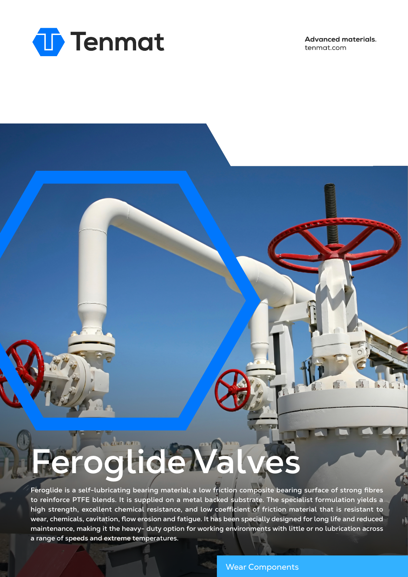

**Advanced materials.** tenmat.com

一

 $\frac{1}{2}$ 

٧Ā

## **Feroglide Valves**

**Feroglide is a self-lubricating bearing material; a low friction composite bearing surface of strong fibres to reinforce PTFE blends. It is supplied on a metal backed substrate. The specialist formulation yields a high strength, excellent chemical resistance, and low coefficient of friction material that is resistant to wear, chemicals, cavitation, flow erosion and fatigue. It has been specially designed for long life and reduced maintenance, making it the heavy- duty option for working environments with little or no lubrication across a range of speeds and extreme temperatures.**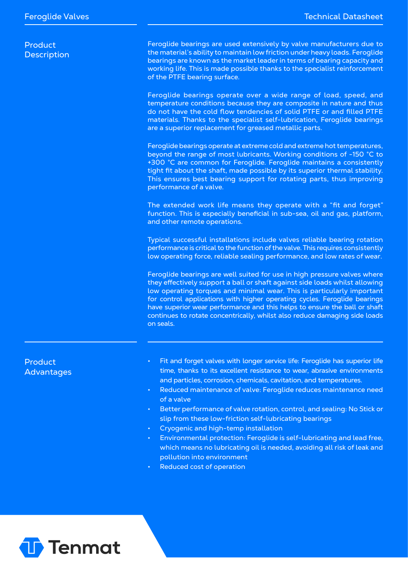| Product            |
|--------------------|
| <b>Description</b> |

Feroglide bearings are used extensively by valve manufacturers due to the material's ability to maintain low friction under heavy loads. Feroglide bearings are known as the market leader in terms of bearing capacity and working life. This is made possible thanks to the specialist reinforcement of the PTFE bearing surface.

Feroglide bearings operate over a wide range of load, speed, and temperature conditions because they are composite in nature and thus do not have the cold flow tendencies of solid PTFE or and filled PTFE materials. Thanks to the specialist self-lubrication, Feroglide bearings are a superior replacement for greased metallic parts.

Feroglide bearings operate at extreme cold and extreme hot temperatures, beyond the range of most lubricants. Working conditions of -150 °C to +300 °C are common for Feroglide. Feroglide maintains a consistently tight fit about the shaft, made possible by its superior thermal stability. This ensures best bearing support for rotating parts, thus improving performance of a valve.

The extended work life means they operate with a "fit and forget" function. This is especially beneficial in sub-sea, oil and gas, platform, and other remote operations.

Typical successful installations include valves reliable bearing rotation performance is critical to the function of the valve. This requires consistently low operating force, reliable sealing performance, and low rates of wear.

Feroglide bearings are well suited for use in high pressure valves where they effectively support a ball or shaft against side loads whilst allowing low operating torques and minimal wear. This is particularly important for control applications with higher operating cycles. Feroglide bearings have superior wear performance and this helps to ensure the ball or shaft continues to rotate concentrically, whilst also reduce damaging side loads on seals.

## Product Advantages

- Fit and forget valves with longer service life: Feroglide has superior life time, thanks to its excellent resistance to wear, abrasive environments and particles, corrosion, chemicals, cavitation, and temperatures.
- Reduced maintenance of valve: Feroglide reduces maintenance need of a valve
- Better performance of valve rotation, control, and sealing: No Stick or slip from these low-friction self-lubricating bearings
- Cryogenic and high-temp installation
- Environmental protection: Feroglide is self-lubricating and lead free, which means no lubricating oil is needed, avoiding all risk of leak and pollution into environment
- Reduced cost of operation

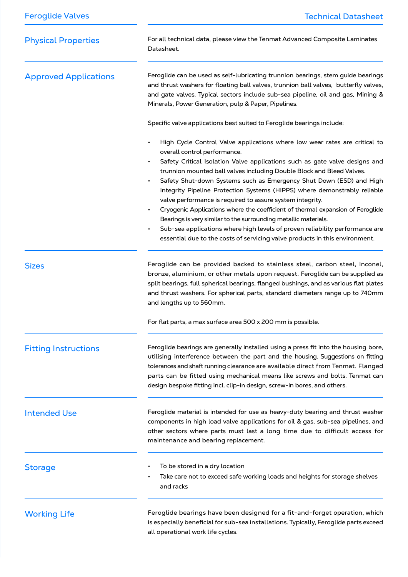| <b>Feroglide Valves</b>      | <b>Technical Datasheet</b>                                                                                                                                                                                                                                                                                                                                                                                                                                                                                                                                                                                 |
|------------------------------|------------------------------------------------------------------------------------------------------------------------------------------------------------------------------------------------------------------------------------------------------------------------------------------------------------------------------------------------------------------------------------------------------------------------------------------------------------------------------------------------------------------------------------------------------------------------------------------------------------|
| <b>Physical Properties</b>   | For all technical data, please view the Tenmat Advanced Composite Laminates<br>Datasheet.                                                                                                                                                                                                                                                                                                                                                                                                                                                                                                                  |
| <b>Approved Applications</b> | Feroglide can be used as self-lubricating trunnion bearings, stem guide bearings<br>and thrust washers for floating ball valves, trunnion ball valves, butterfly valves,<br>and gate valves. Typical sectors include sub-sea pipeline, oil and gas, Mining &<br>Minerals, Power Generation, pulp & Paper, Pipelines.                                                                                                                                                                                                                                                                                       |
|                              | Specific valve applications best suited to Feroglide bearings include:                                                                                                                                                                                                                                                                                                                                                                                                                                                                                                                                     |
|                              | High Cycle Control Valve applications where low wear rates are critical to<br>overall control performance.                                                                                                                                                                                                                                                                                                                                                                                                                                                                                                 |
|                              | Safety Critical Isolation Valve applications such as gate valve designs and<br>trunnion mounted ball valves including Double Block and Bleed Valves.<br>Safety Shut-down Systems such as Emergency Shut Down (ESD) and High<br>Integrity Pipeline Protection Systems (HIPPS) where demonstrably reliable<br>valve performance is required to assure system integrity.<br>Cryogenic Applications where the coefficient of thermal expansion of Feroglide<br>Bearings is very similar to the surrounding metallic materials.<br>Sub-sea applications where high levels of proven reliability performance are |
|                              | essential due to the costs of servicing valve products in this environment.                                                                                                                                                                                                                                                                                                                                                                                                                                                                                                                                |
| <b>Sizes</b>                 | Feroglide can be provided backed to stainless steel, carbon steel, Inconel,<br>bronze, aluminium, or other metals upon request. Feroglide can be supplied as<br>split bearings, full spherical bearings, flanged bushings, and as various flat plates<br>and thrust washers. For spherical parts, standard diameters range up to 740mm<br>and lengths up to 560mm.                                                                                                                                                                                                                                         |
|                              | For flat parts, a max surface area 500 x 200 mm is possible.                                                                                                                                                                                                                                                                                                                                                                                                                                                                                                                                               |
| <b>Fitting Instructions</b>  | Feroglide bearings are generally installed using a press fit into the housing bore,<br>utilising interference between the part and the housing. Suggestions on fitting<br>tolerances and shaft running clearance are available direct from Tenmat. Flanged<br>parts can be fitted using mechanical means like screws and bolts. Tenmat can<br>design bespoke fitting incl. clip-in design, screw-in bores, and others.                                                                                                                                                                                     |
| <b>Intended Use</b>          | Feroglide material is intended for use as heavy-duty bearing and thrust washer<br>components in high load valve applications for oil & gas, sub-sea pipelines, and<br>other sectors where parts must last a long time due to difficult access for<br>maintenance and bearing replacement.                                                                                                                                                                                                                                                                                                                  |
| <b>Storage</b>               | To be stored in a dry location<br>Take care not to exceed safe working loads and heights for storage shelves<br>and racks                                                                                                                                                                                                                                                                                                                                                                                                                                                                                  |
| <b>Working Life</b>          | Feroglide bearings have been designed for a fit-and-forget operation, which<br>is especially beneficial for sub-sea installations. Typically, Feroglide parts exceed<br>all operational work life cycles.                                                                                                                                                                                                                                                                                                                                                                                                  |